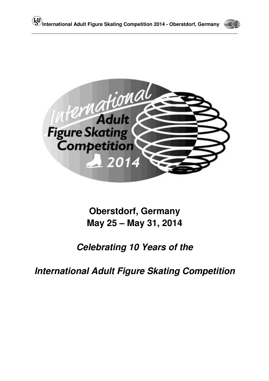



**Oberstdorf, Germany May 25 – May 31, 2014**

# **Celebrating 10 Years of the**

**International Adult Figure Skating Competition**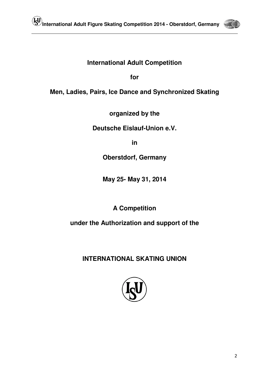

# **International Adult Competition**

**for** 

**Men, Ladies, Pairs, Ice Dance and Synchronized Skating** 

**organized by the** 

**Deutsche Eislauf-Union e.V.** 

**in** 

**Oberstdorf, Germany** 

**May 25- May 31, 2014** 

**A Competition** 

**under the Authorization and support of the** 

**INTERNATIONAL SKATING UNION**

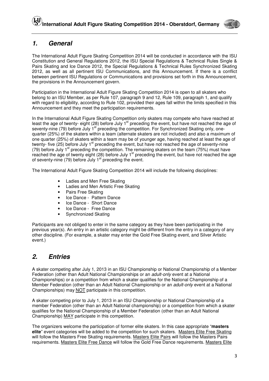

### **1. General**

The International Adult Figure Skating Competition 2014 will be conducted in accordance with the ISU Constitution and General Regulations 2012, the ISU Special Regulations & Technical Rules Single & Pairs Skating and Ice Dance 2012, the Special Regulations & Technical Rules Synchronized Skating 2012, as well as all pertinent ISU Communications, and this Announcement. If there is a conflict between pertinent ISU Regulations or Communications and provisions set forth in this Announcement, the provisions in the Announcement govern.

Participation in the International Adult Figure Skating Competition 2014 is open to all skaters who belong to an ISU Member, as per Rule 107, paragraph 9 and 12, Rule 109, paragraph 1, and qualify with regard to eligibility, according to Rule 102, provided their ages fall within the limits specified in this Announcement and they meet the participation requirements.

In the International Adult Figure Skating Competition only skaters may compete who have reached at least the age of twenty- eight (28) before July 1<sup>st</sup> preceding the event, but have not reached the age of seventy-nine (79) before July 1<sup>st</sup> preceding the competition. For Synchronized Skating only, onequarter (25%) of the skaters within a team (alternate skaters are not included) and also a maximum of one quarter (25%) of skaters within a team may be of younger age, having reached at least the age of twenty- five  $(25)$  before July 1<sup>st</sup> preceding the event, but have not reached the age of seventy-nine (79) before July 1<sup>st</sup> preceding the competition. The remaining skaters on the team (75%) must have reached the age of twenty eight (28) before July 1<sup>st</sup> preceding the event, but have not reached the age of seventy-nine (79) before July 1<sup>st</sup> preceding the event.

The International Adult Figure Skating Competition 2014 will include the following disciplines:

- Ladies and Men Free Skating
- Ladies and Men Artistic Free Skating
- Pairs Free Skating
- Ice Dance Pattern Dance
- Ice Dance Short Dance
- Ice Dance Free Dance
- Synchronized Skating

Participants are not obliged to enter in the same category as they have been participating in the previous year(s). An entry in an artistic category might be different from the entry in a category of any other discipline. (For example, a skater may enter the Gold Free Skating event, and Silver Artistic event.)

# **2. Entries**

A skater competing after July 1, 2013 in an ISU Championship or National Championship of a Member Federation (other than Adult National Championships or an *adult-only* event at a National Championships) or a competition from which a skater qualifies for the National Championship of a Member Federation (other than an Adult National Championship or an adult-only event at a National Championships) may NOT participate in this competition.

A skater competing prior to July 1, 2013 in an ISU Championship or National Championship of a member Federation (other than an Adult National championship) or a competition from which a skater qualifies for the National Championship of a Member Federation (other than an Adult National Championship) MAY participate in this competition.

The organizers welcome the participation of former elite skaters. In this case appropriate "**masters elite**" event categories will be added to the competition for such skaters. Masters Elite Free Skating will follow the Masters Free Skating requirements. Masters Elite Pairs will follow the Masters Pairs requirements. Masters Elite Free Dance will follow the Gold Free Dance requirements. Masters Elite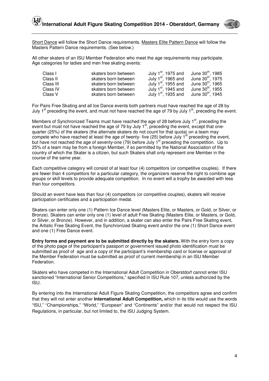

Short Dance will follow the Short Dance requirements. Masters Elite Pattern Dance will follow the Masters Pattern Dance requirements. (See below.)

All other skaters of an ISU Member Federation who meet the age requirements may participate. Age categories for ladies and men free skating events:

| Class I   | skaters born between | July $1st$ , 1975 and                                        | June 30 <sup>th</sup> , 1985 |
|-----------|----------------------|--------------------------------------------------------------|------------------------------|
| Class II  | skaters born between | July $1st$ , 1965 and                                        | June 30 <sup>th</sup> , 1975 |
| Class III | skaters born between | July $1st$ , 1955 and                                        | June 30 <sup>th</sup> , 1965 |
| Class IV  | skaters born between | July $1st$ , 1945 and                                        | June 30 <sup>th</sup> , 1955 |
| Class V   | skaters born between | July 1 <sup>st</sup> , 1935 and June 30 <sup>th</sup> , 1945 |                              |

For Pairs Free Skating and all Ice Dance events both partners must have reached the age of 28 by July 1<sup>st</sup> preceding the event, and must not have reached the age of 79 by July 1<sup>st</sup>, preceding the event.

Members of Synchronized Teams must have reached the age of 28 before July  $1<sup>st</sup>$ , preceding the event but must not have reached the age of 79 by July 1<sup>st</sup>, preceding the event, except that onequarter (25%) of the skaters (the alternate skaters do not count for that quota) on a team may compete who have reached at least the age of twenty- five (25) before July 1<sup>st</sup> preceding the event, but have not reached the age of seventy-one (79) before July 1<sup>st</sup> preceding the competition. Up to 25% of a team may be from a foreign Member, if so permitted by the National Association of the country of which the Skater is a citizen, but such Skaters shall only represent one Member in the course of the same year.

Each competitive category will consist of at least four (4) competitors (or competitive couples). If there are fewer than 4 competitors for a particular category, the organizers reserve the right to combine age groups or skill levels to provide adequate competition. In no event will a trophy be awarded with less than four competitors.

Should an event have less than four (4) competitors (or competitive couples), skaters will receive participation certificates and a participation medal.

Skaters can enter only one (1) Pattern Ice Dance level (Masters Elite, or Masters, or Gold, or Silver, or Bronze). Skaters can enter only one (1) level of adult Free Skating (Masters Elite, or Masters, or Gold, or Silver, or Bronze). However, and in addition, a skater can also enter the Pairs Free Skating event, the Artistic Free Skating Event, the Synchronized Skating event and/or the one (1) Short Dance event and one (1) Free Dance event.

**Entry forms and payment are to be submitted directly by the skaters.** With the entry form a copy of the photo page of the participant's passport or government issued photo identification must be submitted as proof of age and a copy of the participant's membership card or license or approval of the Member Federation must be submitted as proof of current membership in an ISU Member Federation.

Skaters who have competed in the International Adult Competition in Oberstdorf cannot enter ISU sanctioned "International Senior Competitions," specified in ISU Rule 107, unless authorized by the ISU.

By entering into the International Adult Figure Skating Competition, the competitors agree and confirm that they will not enter another **International Adult Competition,** which in its title would use the words "ISU," "Championships," "World," "European" and "Continents" and/or that would not respect the ISU Regulations, in particular, but not limited to, the ISU Judging System.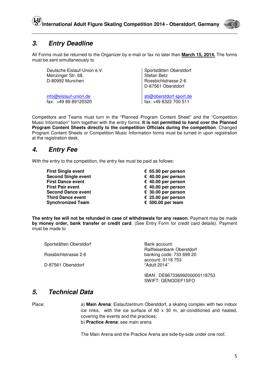

### **3. Entry Deadline**

All Forms must be returned to the Organizer by e-mail or fax no later than **March 15, 2014.** The forms must be sent simultaneously to

Deutsche Eislauf-Union e.V. Menzinger Str. 68, D-80992 Munchen

Sportstätten Oberstdorf Stefan Betz Rossbichlstrasse 2-6 D-87561 Oberstdorf

info@eislauf-union.de sb@oberstdorf-sport.de fax: +49 89 89120320 fax: +49 8322 700 511

Competitors and Teams must turn in the "Planned Program Content Sheet" and the "Competition Music Information" form together with the entry forms. **It is not permitted to hand over the Planned Program Content Sheets directly to the competition Officials during the competition**. Changed Program Content Sheets or Competition Music Information forms must be turned in upon registration at the registration desk.

### **4. Entry Fee**

With the entry to the competition, the entry fee must be paid as follows:

| <b>First Single event</b>  | € 65.00 per person |
|----------------------------|--------------------|
| <b>Second Single event</b> | € 40.00 per person |
| <b>First Dance event</b>   | € 40.00 per person |
| First Pair event           | € 40.00 per person |
| <b>Second Dance event</b>  | € 30.00 per person |
| Third Dance event          | € 25.00 per person |
| <b>Synchronized Team</b>   | € 500.00 per team  |
|                            |                    |

**The entry fee will not be refunded in case of withdrawals for any reason**. Payment may be made **by money order, bank transfer or credit card**. (See Entry Form for credit card details). Payment must be made to

| Sportstätten Oberstdorf | Bank account:<br>Raiffeisenbank Oberstdorf    |
|-------------------------|-----------------------------------------------|
| Rossbichlstrasse 2-6    | banking code: 733 699 20<br>account: 0118 753 |
| D-87561 Oberstdorf      | "Adult 2014"                                  |
|                         | _________________                             |

IBAN: DE86733699200000118753 SWIFT: GENODEF1SFO

### **5. Technical Data**

Place: a) **Main Arena**: Eislaufzentrum Oberstdorf, a skating complex with two indoor ice rinks, with the ice surface of  $60 \times 30$  m, air-conditioned and heated, covering the events and the practices; b) **Practice Arena**: see main arena

The Main Arena and the Practice Arena are side-by-side under one roof.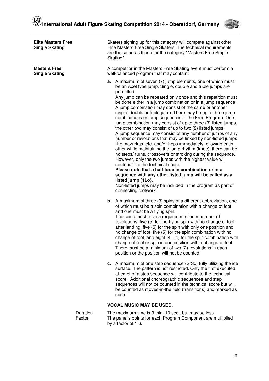

|                                              | Skaters signing up for this category will compete against other<br>Elite Masters Free Single Skaters. The technical requirements<br>are the same as those for the category "Masters Free Single<br>Skating".                                                                                                                                                                                                                                                                                                                                                                                                                                                                                                                                                                                                                                                                                                                                                                                                                                                                                                                                                                                                                                          |  |  |
|----------------------------------------------|-------------------------------------------------------------------------------------------------------------------------------------------------------------------------------------------------------------------------------------------------------------------------------------------------------------------------------------------------------------------------------------------------------------------------------------------------------------------------------------------------------------------------------------------------------------------------------------------------------------------------------------------------------------------------------------------------------------------------------------------------------------------------------------------------------------------------------------------------------------------------------------------------------------------------------------------------------------------------------------------------------------------------------------------------------------------------------------------------------------------------------------------------------------------------------------------------------------------------------------------------------|--|--|
| <b>Masters Free</b><br><b>Single Skating</b> | A competitor in the Masters Free Skating event must perform a<br>well-balanced program that may contain:                                                                                                                                                                                                                                                                                                                                                                                                                                                                                                                                                                                                                                                                                                                                                                                                                                                                                                                                                                                                                                                                                                                                              |  |  |
|                                              | <b>a.</b> A maximum of seven (7) jump elements, one of which must<br>be an Axel type jump. Single, double and triple jumps are<br>permitted.<br>Any jump can be repeated only once and this repetition must<br>be done either in a jump combination or in a jump sequence.<br>A jump combination may consist of the same or another<br>single, double or triple jump. There may be up to three jump<br>combinations or jump sequences in the Free Program. One<br>jump combination may consist of up to three (3) listed jumps,<br>the other two may consist of up to two (2) listed jumps.<br>A jump sequence may consist of any number of jumps of any<br>number of revolutions that may be linked by non-listed jumps<br>like mazurkas, etc. and/or hops immediately following each<br>other while maintaining the jump rhythm (knee); there can be<br>no steps/ turns, crossovers or stroking during the sequence.<br>However, only the two jumps with the highest value will<br>contribute to the technical score.<br>Please note that a half-loop in combination or in a<br>sequence with any other listed jump will be called as a<br>listed jump (1Lo).<br>Non-listed jumps may be included in the program as part of<br>connecting footwork. |  |  |
|                                              | <b>b.</b> A maximum of three (3) spins of a different abbreviation, one<br>of which must be a spin combination with a change of foot<br>and one must be a flying spin.<br>The spins must have a required minimum number of<br>revolutions: five (5) for the flying spin with no change of foot<br>after landing, five (5) for the spin with only one position and<br>no change of foot, five (5) for the spin combination with no<br>change of foot, and eight $(4 + 4)$ for the spin combination with<br>change of foot or spin in one position with a change of foot.<br>There must be a minimum of two (2) revolutions in each<br>position or the position will not be counted.                                                                                                                                                                                                                                                                                                                                                                                                                                                                                                                                                                    |  |  |
|                                              | c. A maximum of one step sequence (StSq) fully utilizing the ice<br>surface. The pattern is not restricted. Only the first executed<br>attempt of a step sequence will contribute to the technical<br>score. Additional choreographic sequences and step<br>sequences will not be counted in the technical score but will<br>be counted as moves-in-the field (transitions) and marked as<br>such.                                                                                                                                                                                                                                                                                                                                                                                                                                                                                                                                                                                                                                                                                                                                                                                                                                                    |  |  |
|                                              | <b>VOCAL MUSIC MAY BE USED.</b>                                                                                                                                                                                                                                                                                                                                                                                                                                                                                                                                                                                                                                                                                                                                                                                                                                                                                                                                                                                                                                                                                                                                                                                                                       |  |  |
| Duration<br>Factor                           | The maximum time is 3 min. 10 sec., but may be less.<br>The panel's points for each Program Component are multiplied<br>by a factor of 1.6.                                                                                                                                                                                                                                                                                                                                                                                                                                                                                                                                                                                                                                                                                                                                                                                                                                                                                                                                                                                                                                                                                                           |  |  |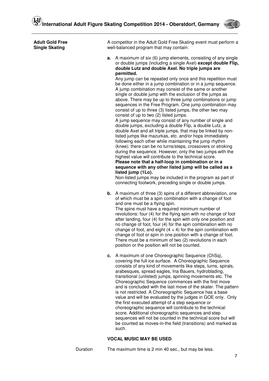

| <b>Adult Gold Free</b><br><b>Single Skating</b> |    | A competitor in the Adult Gold Free Skating event must perform a<br>well-balanced program that may contain:                                                                                                                                                                                                                                                                                                                                                                                                                                                                                                                                                                                                                                                                                                                                                                                                                                                                                                                                                                                                                                                                                                                                                                                                                                                                                                                                         |  |  |
|-------------------------------------------------|----|-----------------------------------------------------------------------------------------------------------------------------------------------------------------------------------------------------------------------------------------------------------------------------------------------------------------------------------------------------------------------------------------------------------------------------------------------------------------------------------------------------------------------------------------------------------------------------------------------------------------------------------------------------------------------------------------------------------------------------------------------------------------------------------------------------------------------------------------------------------------------------------------------------------------------------------------------------------------------------------------------------------------------------------------------------------------------------------------------------------------------------------------------------------------------------------------------------------------------------------------------------------------------------------------------------------------------------------------------------------------------------------------------------------------------------------------------------|--|--|
|                                                 | а. | A maximum of six (6) jump elements, consisting of any single<br>or double jumps (including a single Axel) except double Flip,<br>double Lutz and double Axel. No triple jumps are<br>permitted.<br>Any jump can be repeated only once and this repetition must<br>be done either in a jump combination or in a jump sequence.<br>A jump combination may consist of the same or another<br>single or double jump with the exclusion of the jumps as<br>above. There may be up to three jump combinations or jump<br>sequences in the Free Program. One jump combination may<br>consist of up to three (3) listed jumps, the other two may<br>consist of up to two (2) listed jumps.<br>A jump sequence may consist of any number of single and<br>double jumps, excluding a double Flip, a double Lutz, a<br>double Axel and all triple jumps, that may be linked by non-<br>listed jumps like mazurkas, etc. and/or hops immediately<br>following each other while maintaining the jump rhythm<br>(knee); there can be no turns/steps, crossovers or stroking<br>during the sequence. However, only the two jumps with the<br>highest value will contribute to the technical score.<br>Please note that a half-loop in combination or in a<br>sequence with any other listed jump will be called as a<br>listed jump (1Lo).<br>Non-listed jumps may be included in the program as part of<br>connecting footwork, preceding single or double jumps. |  |  |
|                                                 |    | <b>b.</b> A maximum of three (3) spins of a different abbreviation, one<br>of which must be a spin combination with a change of foot<br>and one must be a flying spin.<br>The spins must have a required minimum number of<br>revolutions: four (4) for the flying spin with no change of foot<br>after landing, four (4) for the spin with only one position and<br>no change of foot, four (4) for the spin combination with no<br>change of foot, and eight $(4 + 4)$ for the spin combination with<br>change of foot or spin in one position with a change of foot.<br>There must be a minimum of two (2) revolutions in each<br>position or the position will not be counted.                                                                                                                                                                                                                                                                                                                                                                                                                                                                                                                                                                                                                                                                                                                                                                  |  |  |
|                                                 |    | c. A maximum of one Choreographic Sequence (ChSq),<br>covering the full ice surface. A Choreographic Sequence<br>consists of any kind of movements like steps, turns, spirals,<br>arabesques, spread eagles, Ina Bauers, hydroblading,<br>transitional (unlisted) jumps, spinning movements etc. The<br>Choreographic Sequence commences with the first move<br>and is concluded with the last move of the skater. The pattern<br>is not restricted. A Choreographic Sequence has a base<br>value and will be evaluated by the judges in GOE only. Only                                                                                                                                                                                                                                                                                                                                                                                                                                                                                                                                                                                                                                                                                                                                                                                                                                                                                             |  |  |

the first executed attempt of a step sequence or choreographic sequence will contribute to the technical score. Additional choreographic sequences and step sequences will not be counted in the technical score but will be counted as moves-in-the field (transitions) and marked as such.

#### **VOCAL MUSIC MAY BE USED**.

Duration The maximum time is 2 min 40 sec., but may be less.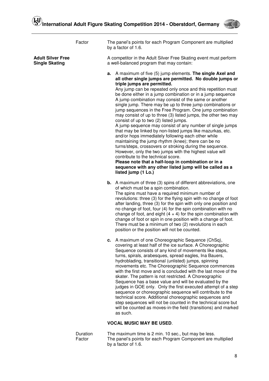

|                                                   | Factor   | The panel's points for each Program Component are multiplied<br>by a factor of 1.6.                                                                                                                                                                                                                                                                                                                                                                                                                                                                                                                                                                                                                                                                                                                                                                                                                                                                                                                                                                                                                                              |
|---------------------------------------------------|----------|----------------------------------------------------------------------------------------------------------------------------------------------------------------------------------------------------------------------------------------------------------------------------------------------------------------------------------------------------------------------------------------------------------------------------------------------------------------------------------------------------------------------------------------------------------------------------------------------------------------------------------------------------------------------------------------------------------------------------------------------------------------------------------------------------------------------------------------------------------------------------------------------------------------------------------------------------------------------------------------------------------------------------------------------------------------------------------------------------------------------------------|
| <b>Adult Silver Free</b><br><b>Single Skating</b> |          | A competitor in the Adult Silver Free Skating event must perform<br>a well-balanced program that may contain:                                                                                                                                                                                                                                                                                                                                                                                                                                                                                                                                                                                                                                                                                                                                                                                                                                                                                                                                                                                                                    |
|                                                   |          | a. A maximum of five (5) jump elements. The single Axel and<br>all other single jumps are permitted. No double jumps or<br>triple jumps are permitted.<br>Any jump can be repeated only once and this repetition must<br>be done either in a jump combination or in a jump sequence<br>A jump combination may consist of the same or another<br>single jump. There may be up to three jump combinations or<br>jump sequences in the Free Program. One jump combination<br>may consist of up to three (3) listed jumps, the other two may<br>consist of up to two (2) listed jumps.<br>A jump sequence may consist of any number of single jumps<br>that may be linked by non-listed jumps like mazurkas, etc.<br>and/or hops immediately following each other while<br>maintaining the jump rhythm (knee); there can be no<br>turns/steps, crossovers or stroking during the sequence.<br>However, only the two jumps with the highest value will<br>contribute to the technical score.<br>Please note that a half-loop in combination or in a<br>sequence with any other listed jump will be called as a<br>listed jump (1 Lo.) |
|                                                   |          | <b>b.</b> A maximum of three (3) spins of different abbreviations, one<br>of which must be a spin combination.<br>The spins must have a required minimum number of<br>revolutions: three (3) for the flying spin with no change of foot<br>after landing, three (3) for the spin with only one position and<br>no change of foot, four (4) for the spin combination with no<br>change of foot, and eight $(4 + 4)$ for the spin combination with<br>change of foot or spin in one position with a change of foot.<br>There must be a minimum of two (2) revolutions in each<br>position or the position will not be counted.                                                                                                                                                                                                                                                                                                                                                                                                                                                                                                     |
|                                                   |          | c. A maximum of one Choreographic Sequence (ChSq),<br>covering at least half of the ice surface. A Choreographic<br>Sequence consists of any kind of movements like steps,<br>turns, spirals, arabesques, spread eagles, Ina Bauers,<br>hydroblading, transitional (unlisted) jumps, spinning<br>movements etc. The Choreographic Sequence commences<br>with the first move and is concluded with the last move of the<br>skater. The pattern is not restricted. A Choreographic<br>Sequence has a base value and will be evaluated by the<br>judges in GOE only. Only the first executed attempt of a step<br>sequence or choreographic sequence will contribute to the<br>technical score. Additional choreographic sequences and<br>step sequences will not be counted in the technical score but<br>will be counted as moves-in-the field (transitions) and marked<br>as such.                                                                                                                                                                                                                                               |
|                                                   |          | <b>VOCAL MUSIC MAY BE USED.</b>                                                                                                                                                                                                                                                                                                                                                                                                                                                                                                                                                                                                                                                                                                                                                                                                                                                                                                                                                                                                                                                                                                  |
|                                                   | Duration | The maximum time is 2 min. 10 sec., but may be less.                                                                                                                                                                                                                                                                                                                                                                                                                                                                                                                                                                                                                                                                                                                                                                                                                                                                                                                                                                                                                                                                             |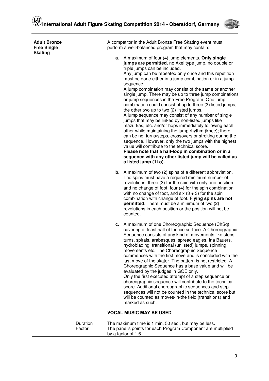

| <b>Adult Bronze</b><br><b>Free Single</b><br><b>Skating</b> | A competitor in the Adult Bronze Free Skating event must<br>perform a well-balanced program that may contain:                                                                                                                                                                                                                                                                                                                                                                                                                                                                                                                                                                                                                                                                                                                                                                                                                                                                                                                                                                                                |  |
|-------------------------------------------------------------|--------------------------------------------------------------------------------------------------------------------------------------------------------------------------------------------------------------------------------------------------------------------------------------------------------------------------------------------------------------------------------------------------------------------------------------------------------------------------------------------------------------------------------------------------------------------------------------------------------------------------------------------------------------------------------------------------------------------------------------------------------------------------------------------------------------------------------------------------------------------------------------------------------------------------------------------------------------------------------------------------------------------------------------------------------------------------------------------------------------|--|
|                                                             | a. A maximum of four (4) jump elements. Only single<br>jumps are permitted, no Axel type jump, no double or<br>triple jumps can be included.<br>Any jump can be repeated only once and this repetition<br>must be done either in a jump combination or in a jump<br>sequence.<br>A jump combination may consist of the same or another<br>single jump. There may be up to three jump combinations<br>or jump sequences in the Free Program. One jump<br>combination could consist of up to three (3) listed jumps,<br>the other two up to two (2) listed jumps.<br>A jump sequence may consist of any number of single<br>jumps that may be linked by non-listed jumps like<br>mazurkas, etc. and/or hops immediately following each<br>other while maintaining the jump rhythm (knee); there<br>can be no turns/steps, crossovers or stroking during the<br>sequence. However, only the two jumps with the highest<br>value will contribute to the technical score.<br>Please note that a half-loop in combination or in a<br>sequence with any other listed jump will be called as<br>a listed jump (1Lo). |  |
|                                                             | <b>b.</b> A maximum of two (2) spins of a different abbreviation.<br>The spins must have a required minimum number of<br>revolutions: three (3) for the spin with only one position<br>and no change of foot, four (4) for the spin combination<br>with no change of foot, and six $(3 + 3)$ for the spin<br>combination with change of foot. Flying spins are not<br><b>permitted</b> . There must be a minimum of two (2)<br>revolutions in each position or the position will not be<br>counted.                                                                                                                                                                                                                                                                                                                                                                                                                                                                                                                                                                                                          |  |
|                                                             | A maximum of one Choreographic Sequence (ChSq),<br>с.<br>covering at least half of the ice surface. A Choreographic<br>Sequence consists of any kind of movements like steps,<br>turns, spirals, arabesques, spread eagles, Ina Bauers,<br>hydroblading, transitional (unlisted) jumps, spinning<br>movements etc. The Choreographic Sequence<br>commences with the first move and is concluded with the<br>last move of the skater. The pattern is not restricted. A<br>Choreographic Sequence has a base value and will be<br>evaluated by the judges in GOE only.<br>Only the first executed attempt of a step sequence or<br>choreographic sequence will contribute to the technical<br>score. Additional choreographic sequences and step<br>sequences will not be counted in the technical score but<br>will be counted as moves-in-the field (transitions) and<br>marked as such.                                                                                                                                                                                                                     |  |
|                                                             | <b>VOCAL MUSIC MAY BE USED.</b>                                                                                                                                                                                                                                                                                                                                                                                                                                                                                                                                                                                                                                                                                                                                                                                                                                                                                                                                                                                                                                                                              |  |
| Duration<br>Factor                                          | The maximum time is 1 min. 50 sec., but may be less.<br>The panel's points for each Program Component are multiplied                                                                                                                                                                                                                                                                                                                                                                                                                                                                                                                                                                                                                                                                                                                                                                                                                                                                                                                                                                                         |  |

by a factor of 1.6.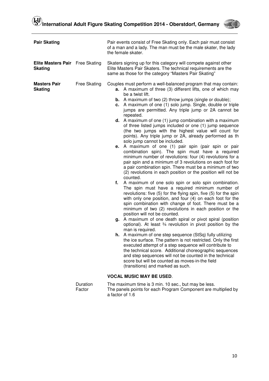

| <b>Pair Skating</b>                         |                     | Pair events consist of Free Skating only. Each pair must consist<br>of a man and a lady. The man must be the male skater, the lady<br>the female skater.                                                                                                                                                                                                                                                                                                                                                                                                                                                                                                                                                                                                                                                                                                                                                                                                                                                                                                                                                                                                                                                                                                                                                                                                                                                                                                                                                                                                                                                                                                                                                                                                                                                                                                                                                                                                                                                                                |  |  |
|---------------------------------------------|---------------------|-----------------------------------------------------------------------------------------------------------------------------------------------------------------------------------------------------------------------------------------------------------------------------------------------------------------------------------------------------------------------------------------------------------------------------------------------------------------------------------------------------------------------------------------------------------------------------------------------------------------------------------------------------------------------------------------------------------------------------------------------------------------------------------------------------------------------------------------------------------------------------------------------------------------------------------------------------------------------------------------------------------------------------------------------------------------------------------------------------------------------------------------------------------------------------------------------------------------------------------------------------------------------------------------------------------------------------------------------------------------------------------------------------------------------------------------------------------------------------------------------------------------------------------------------------------------------------------------------------------------------------------------------------------------------------------------------------------------------------------------------------------------------------------------------------------------------------------------------------------------------------------------------------------------------------------------------------------------------------------------------------------------------------------------|--|--|
| <b>Elite Masters Pair</b><br><b>Skating</b> | Free Skating        | Skaters signing up for this category will compete against other<br>Elite Masters Pair Skaters. The technical requirements are the<br>same as those for the category "Masters Pair Skating"                                                                                                                                                                                                                                                                                                                                                                                                                                                                                                                                                                                                                                                                                                                                                                                                                                                                                                                                                                                                                                                                                                                                                                                                                                                                                                                                                                                                                                                                                                                                                                                                                                                                                                                                                                                                                                              |  |  |
| <b>Masters Pair</b><br><b>Skating</b>       | <b>Free Skating</b> | Couples must perform a well-balanced program that may contain:<br><b>a.</b> A maximum of three (3) different lifts, one of which may<br>be a twist lift.<br><b>b.</b> A maximum of two $(2)$ throw jumps (single or double);<br>c. A maximum of one (1) solo jump. Single, double or triple<br>jumps are permitted. Any triple jump or 2A cannot be<br>repeated.<br><b>d.</b> A maximum of one $(1)$ jump combination with a maximum<br>of three listed jumps included or one (1) jump sequence<br>(the two jumps with the highest value will count for<br>points). Any triple jump or 2A, already performed as th<br>solo jump cannot be included.<br>e. A maximum of one (1) pair spin (pair spin or pair<br>combination spin). The spin must have a required<br>minimum number of revolutions: four (4) revolutions for a<br>pair spin and a minimum of 3 revolutions on each foot for<br>a pair combination spin. There must be a minimum of two<br>(2) revolutions in each position or the position will not be<br>counted.<br>A maximum of one solo spin or solo spin combination.<br>f.<br>The spin must have a required minimum number of<br>revolutions: five (5) for the flying spin, five (5) for the spin<br>with only one position, and four (4) on each foot for the<br>spin combination with change of foot. There must be a<br>minimum of two (2) revolutions in each position or the<br>position will not be counted.<br>g. A maximum of one death spiral or pivot spiral (position<br>optional). At least 3/4 revolution in pivot position by the<br>man is required.<br><b>h.</b> A maximum of one step sequence (StSq) fully utilizing<br>the ice surface. The pattern is not restricted. Only the first<br>executed attempt of a step sequence will contribute to<br>the technical score. Additional choreographic sequences<br>and step sequences will not be counted in the technical<br>score but will be counted as moves-in-the field<br>(transitions) and marked as such.<br><b>VOCAL MUSIC MAY BE USED.</b> |  |  |
|                                             | Duration            | The maximum time is 3 min. 10 sec., but may be less.                                                                                                                                                                                                                                                                                                                                                                                                                                                                                                                                                                                                                                                                                                                                                                                                                                                                                                                                                                                                                                                                                                                                                                                                                                                                                                                                                                                                                                                                                                                                                                                                                                                                                                                                                                                                                                                                                                                                                                                    |  |  |
|                                             | Factor              | The panels points for each Program Component are multiplied by                                                                                                                                                                                                                                                                                                                                                                                                                                                                                                                                                                                                                                                                                                                                                                                                                                                                                                                                                                                                                                                                                                                                                                                                                                                                                                                                                                                                                                                                                                                                                                                                                                                                                                                                                                                                                                                                                                                                                                          |  |  |

a factor of 1.6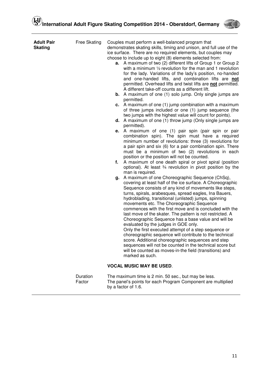

| <b>Adult Pair</b><br><b>Skating</b> | Free Skating | е.<br>f.<br>q. | Couples must perform a well-balanced program that<br>demonstrates skating skills, timing and unison, and full use of the<br>ice surface. There are no required elements, but couples may<br>choose to include up to eight (8) elements selected from:<br>a. A maximum of two (2) different lifts of Group 1 or Group 2<br>with a minimum $\frac{1}{2}$ revolution for the man and 1 revolution<br>for the lady. Variations of the lady's position, no-handed<br>and one-handed lifts, and combination lifts are not<br>permitted. Overhead lifts and twist lifts are not permitted.<br>A different take-off counts as a different lift.<br><b>b.</b> A maximum of one (1) solo jump. Only single jumps are<br>permitted.<br>c. A maximum of one (1) jump combination with a maximum<br>of three jumps included or one (1) jump sequence (the<br>two jumps with the highest value will count for points).<br><b>d.</b> A maximum of one $(1)$ throw jump (Only single jumps are<br>permitted).<br>A maximum of one (1) pair spin (pair spin or pair<br>combination spin). The spin must have a required<br>minimum number of revolutions: three (3) revolutions for<br>a pair spin and six (6) for a pair combination spin. There<br>must be a minimum of two (2) revolutions in each<br>position or the position will not be counted.<br>A maximum of one death spiral or pivot spiral (position<br>optional). At least 3/4 revolution in pivot position by the<br>man is required.<br>A maximum of one Choreographic Sequence (ChSq),<br>covering at least half of the ice surface. A Choreographic<br>Sequence consists of any kind of movements like steps,<br>turns, spirals, arabesques, spread eagles, Ina Bauers,<br>hydroblading, transitional (unlisted) jumps, spinning<br>movements etc. The Choreographic Sequence<br>commences with the first move and is concluded with the<br>last move of the skater. The pattern is not restricted. A<br>Choreographic Sequence has a base value and will be<br>evaluated by the judges in GOE only.<br>Only the first executed attempt of a step sequence or<br>choreographic sequence will contribute to the technical<br>score. Additional choreographic sequences and step<br>sequences will not be counted in the technical score but<br>will be counted as moves-in-the field (transitions) and<br>marked as such. |
|-------------------------------------|--------------|----------------|---------------------------------------------------------------------------------------------------------------------------------------------------------------------------------------------------------------------------------------------------------------------------------------------------------------------------------------------------------------------------------------------------------------------------------------------------------------------------------------------------------------------------------------------------------------------------------------------------------------------------------------------------------------------------------------------------------------------------------------------------------------------------------------------------------------------------------------------------------------------------------------------------------------------------------------------------------------------------------------------------------------------------------------------------------------------------------------------------------------------------------------------------------------------------------------------------------------------------------------------------------------------------------------------------------------------------------------------------------------------------------------------------------------------------------------------------------------------------------------------------------------------------------------------------------------------------------------------------------------------------------------------------------------------------------------------------------------------------------------------------------------------------------------------------------------------------------------------------------------------------------------------------------------------------------------------------------------------------------------------------------------------------------------------------------------------------------------------------------------------------------------------------------------------------------------------------------------------------------------------------------------------------------------------------------------------------------------------------------------------------|
|                                     |              |                | <b>VOCAL MUSIC MAY BE USED.</b>                                                                                                                                                                                                                                                                                                                                                                                                                                                                                                                                                                                                                                                                                                                                                                                                                                                                                                                                                                                                                                                                                                                                                                                                                                                                                                                                                                                                                                                                                                                                                                                                                                                                                                                                                                                                                                                                                                                                                                                                                                                                                                                                                                                                                                                                                                                                           |

 Duration The maximum time is 2 min. 50 sec., but may be less. Factor The panel's points for each Program Component are multiplied by a factor of 1.6.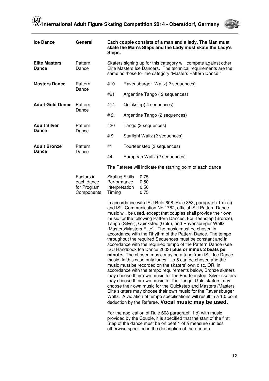

| <b>Ice Dance</b>                     | General                                               | Each couple consists of a man and a lady. The Man must<br>skate the Man's Steps and the Lady must skate the Lady's<br>Steps.                                                                |                                                                                                                                                                                                                                                                                                                                                                                                                                                                                                                                                                                                                                                                                                                                                                                                                                                                                                                                                                                                                                                                                                                                                                                                                                                                                                                                                                                                                                                                                                                                                             |
|--------------------------------------|-------------------------------------------------------|---------------------------------------------------------------------------------------------------------------------------------------------------------------------------------------------|-------------------------------------------------------------------------------------------------------------------------------------------------------------------------------------------------------------------------------------------------------------------------------------------------------------------------------------------------------------------------------------------------------------------------------------------------------------------------------------------------------------------------------------------------------------------------------------------------------------------------------------------------------------------------------------------------------------------------------------------------------------------------------------------------------------------------------------------------------------------------------------------------------------------------------------------------------------------------------------------------------------------------------------------------------------------------------------------------------------------------------------------------------------------------------------------------------------------------------------------------------------------------------------------------------------------------------------------------------------------------------------------------------------------------------------------------------------------------------------------------------------------------------------------------------------|
| <b>Elite Masters</b><br><b>Dance</b> | Pattern<br>Dance                                      | Skaters signing up for this category will compete against other<br>Elite Masters Ice Dancers. The technical requirements are the<br>same as those for the category "Masters Pattern Dance." |                                                                                                                                                                                                                                                                                                                                                                                                                                                                                                                                                                                                                                                                                                                                                                                                                                                                                                                                                                                                                                                                                                                                                                                                                                                                                                                                                                                                                                                                                                                                                             |
| <b>Masters Dance</b>                 | Pattern                                               | #10                                                                                                                                                                                         | Ravensburger Waltz (2 sequences)                                                                                                                                                                                                                                                                                                                                                                                                                                                                                                                                                                                                                                                                                                                                                                                                                                                                                                                                                                                                                                                                                                                                                                                                                                                                                                                                                                                                                                                                                                                            |
|                                      | Dance                                                 | #21                                                                                                                                                                                         | Argentine Tango (2 sequences)                                                                                                                                                                                                                                                                                                                                                                                                                                                                                                                                                                                                                                                                                                                                                                                                                                                                                                                                                                                                                                                                                                                                                                                                                                                                                                                                                                                                                                                                                                                               |
| <b>Adult Gold Dance</b>              | Pattern                                               | #14                                                                                                                                                                                         | Quickstep(4 sequences)                                                                                                                                                                                                                                                                                                                                                                                                                                                                                                                                                                                                                                                                                                                                                                                                                                                                                                                                                                                                                                                                                                                                                                                                                                                                                                                                                                                                                                                                                                                                      |
|                                      | Dance                                                 | #21                                                                                                                                                                                         | Argentine Tango (2 sequences)                                                                                                                                                                                                                                                                                                                                                                                                                                                                                                                                                                                                                                                                                                                                                                                                                                                                                                                                                                                                                                                                                                                                                                                                                                                                                                                                                                                                                                                                                                                               |
| <b>Adult Silver</b>                  | Pattern                                               | #20                                                                                                                                                                                         | Tango (2 sequences)                                                                                                                                                                                                                                                                                                                                                                                                                                                                                                                                                                                                                                                                                                                                                                                                                                                                                                                                                                                                                                                                                                                                                                                                                                                                                                                                                                                                                                                                                                                                         |
| <b>Dance</b>                         | Dance                                                 | #9                                                                                                                                                                                          | Starlight Waltz (2 sequences)                                                                                                                                                                                                                                                                                                                                                                                                                                                                                                                                                                                                                                                                                                                                                                                                                                                                                                                                                                                                                                                                                                                                                                                                                                                                                                                                                                                                                                                                                                                               |
| <b>Adult Bronze</b>                  | Pattern                                               | #1                                                                                                                                                                                          | Fourteenstep (3 sequences)                                                                                                                                                                                                                                                                                                                                                                                                                                                                                                                                                                                                                                                                                                                                                                                                                                                                                                                                                                                                                                                                                                                                                                                                                                                                                                                                                                                                                                                                                                                                  |
| <b>Dance</b>                         | Dance                                                 | #4                                                                                                                                                                                          | European Waltz (2 sequences)                                                                                                                                                                                                                                                                                                                                                                                                                                                                                                                                                                                                                                                                                                                                                                                                                                                                                                                                                                                                                                                                                                                                                                                                                                                                                                                                                                                                                                                                                                                                |
|                                      |                                                       | The Referee will indicate the starting point of each dance                                                                                                                                  |                                                                                                                                                                                                                                                                                                                                                                                                                                                                                                                                                                                                                                                                                                                                                                                                                                                                                                                                                                                                                                                                                                                                                                                                                                                                                                                                                                                                                                                                                                                                                             |
|                                      | Factors in<br>each dance<br>for Program<br>Components | <b>Skating Skills</b><br>Performance<br>Interpretation<br>Timing                                                                                                                            | 0,75<br>0,50<br>0,50<br>0,75                                                                                                                                                                                                                                                                                                                                                                                                                                                                                                                                                                                                                                                                                                                                                                                                                                                                                                                                                                                                                                                                                                                                                                                                                                                                                                                                                                                                                                                                                                                                |
|                                      |                                                       |                                                                                                                                                                                             | In accordance with ISU Rule 608, Rule 353, paragraph 1.n) (ii)<br>and ISU Communication No.1782, official ISU Pattern Dance<br>music will be used, except that couples shall provide their own<br>music for the following Pattern Dances: Fourteenstep (Bronze),<br>Tango (Silver), Quickstep (Gold), and Ravensburger Waltz<br>(Masters/Masters Elite). The music must be chosen in<br>accordance with the Rhythm of the Pattern Dance. The tempo<br>throughout the required Sequences must be constant and in<br>accordance with the required tempo of the Pattern Dance (see<br>ISU Handbook Ice Dance 2003) plus or minus 2 beats per<br>minute. The chosen music may be a tune from ISU Ice Dance<br>music. In this case only tunes 1 to 5 can be chosen and the<br>music must be recorded on the skaters' own disc. OR, in<br>accordance with the tempo requirements below, Bronze skaters<br>may choose their own music for the Fourteenstep, Silver skaters<br>may choose their own music for the Tango, Gold skaters may<br>choose their own music for the Quickstep and Masters /Masters<br>Elite skaters may choose their own music for the Ravensburger<br>Waltz. A violation of tempo specifications will result in a 1.0 point<br>deduction by the Referee. Vocal music may be used.<br>For the application of Rule 608 paragraph 1.d) with music<br>provided by the Couple, it is specified that the start of the first<br>Step of the dance must be on beat 1 of a measure (unless<br>otherwise specified in the description of the dance.) |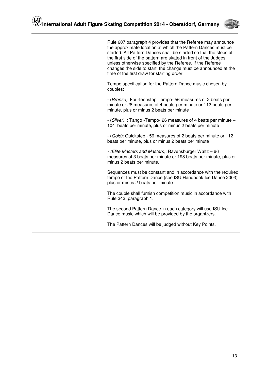

 Rule 607 paragraph 4 provides that the Referee may announce the approximate location at which the Pattern Dances must be started. All Pattern Dances shall be started so that the steps of the first side of the pattern are skated in front of the Judges unless otherwise specified by the Referee. If the Referee changes the side to start, the change must be announced at the time of the first draw for starting order.

Tempo specification for the Pattern Dance music chosen by couples:

- (Bronze): Fourteenstep Tempo- 56 measures of 2 beats per minute or 28 measures of 4 beats per minute or 112 beats per minute, plus or minus 2 beats per minute

- (Silver) : Tango -Tempo- 26 measures of 4 beats per minute – 104 beats per minute, plus or minus 2 beats per minute

- (Gold): Quickstep - 56 measures of 2 beats per minute or 112 beats per minute, plus or minus 2 beats per minute

- (Elite Masters and Masters): Ravensburger Waltz – 66 measures of 3 beats per minute or 198 beats per minute, plus or minus 2 beats per minute.

Sequences must be constant and in accordance with the required tempo of the Pattern Dance (see ISU Handbook Ice Dance 2003) plus or minus 2 beats per minute.

The couple shall furnish competition music in accordance with Rule 343, paragraph 1.

The second Pattern Dance in each category will use ISU Ice Dance music which will be provided by the organizers.

The Pattern Dances will be judged without Key Points.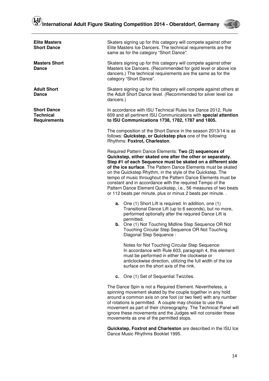Skaters signing up for this category will compete against other Elite Masters Ice Dancers. The technical requirements are the

**Elite Masters Short Dance** 



|                                                               | same as for the category "Short Dance".                                                                                                                                                                                                                                                                                                                                                                                                                                                                                                                                                                                                                                                                                                                                                                                                                                                                |
|---------------------------------------------------------------|--------------------------------------------------------------------------------------------------------------------------------------------------------------------------------------------------------------------------------------------------------------------------------------------------------------------------------------------------------------------------------------------------------------------------------------------------------------------------------------------------------------------------------------------------------------------------------------------------------------------------------------------------------------------------------------------------------------------------------------------------------------------------------------------------------------------------------------------------------------------------------------------------------|
| <b>Masters Short</b><br><b>Dance</b>                          | Skaters signing up for this category will compete against other<br>Masters Ice Dancers. (Recommended for gold level or above ice<br>dancers.) The technical requirements are the same as for the<br>category "Short Dance".                                                                                                                                                                                                                                                                                                                                                                                                                                                                                                                                                                                                                                                                            |
| <b>Adult Short</b><br><b>Dance</b>                            | Skaters signing up for this category will compete against others at<br>the Adult Short Dance level. (Recommended for silver level ice<br>dancers.)                                                                                                                                                                                                                                                                                                                                                                                                                                                                                                                                                                                                                                                                                                                                                     |
| <b>Short Dance</b><br><b>Technical</b><br><b>Requirements</b> | In accordance with ISU Technical Rules Ice Dance 2012, Rule<br>609 and all pertinent ISU Communications with special attention<br>to ISU Communications 1738, 1782, 1787 and 1805.                                                                                                                                                                                                                                                                                                                                                                                                                                                                                                                                                                                                                                                                                                                     |
|                                                               | The composition of the Short Dance in the season 2013/14 is as<br>follows: Quickstep, or Quickstep plus one of the following<br>Rhythms: Foxtrot, Charleston.                                                                                                                                                                                                                                                                                                                                                                                                                                                                                                                                                                                                                                                                                                                                          |
|                                                               | Required Pattern Dance Elements: Two (2) sequences of<br>Quickstep, either skated one after the other or separately.<br>Step #1 of each Sequence must be skated on a different side<br>of the ice surface. The Pattern Dance Elements must be skated<br>on the Quickstep Rhythm, in the style of the Quickstep. The<br>tempo of music throughout the Pattern Dance Elements must be<br>constant and in accordance with the required Tempo of the<br>Pattern Dance Element Quickstep, i.e., 56 measures of two beats<br>or 112 beats per minute, plus or minus 2 beats per minute<br><b>a.</b> One (1) Short Lift is required. In addition, one (1)<br>Transitional Dance Lift (up to 6 seconds), but no more,<br>performed optionally after the required Dance Lift is<br>permitted.<br><b>b.</b> One (1) Not Touching Midline Step Sequence OR Not<br>Touching Circular Step Sequence OR Not Touching |
|                                                               | Diagonal Step Sequence:<br>Notes for Not Touching Circular Step Sequence:<br>In accordance with Rule 603, paragraph 4, this element<br>must be performed in either the clockwise or<br>anticlockwise direction, utilizing the full width of the ice<br>surface on the short axis of the rink.                                                                                                                                                                                                                                                                                                                                                                                                                                                                                                                                                                                                          |
|                                                               | One (1) Set of Sequential Twizzles.<br>с.                                                                                                                                                                                                                                                                                                                                                                                                                                                                                                                                                                                                                                                                                                                                                                                                                                                              |
|                                                               | The Dance Spin is not a Required Element. Nevertheless, a<br>spinning movement skated by the couple together in any hold<br>around a common axis on one foot (or two feet) with any number<br>of rotations is permitted. A couple may choose to use this<br>movement as part of their choreography. The Technical Panel will<br>ignore these movements and the Judges will not consider these<br>movements as one of the permitted stops.                                                                                                                                                                                                                                                                                                                                                                                                                                                              |

**Quickstep, Foxtrot and Charleston** are described in the ISU Ice Dance Music Rhythms Booklet 1995.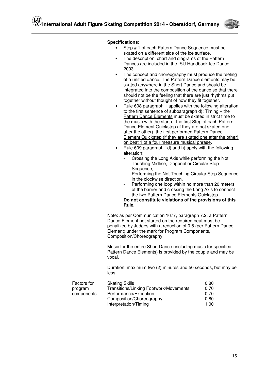

#### **Specifications:**

- Step # 1 of each Pattern Dance Sequence must be skated on a different side of the ice surface.
- The description, chart and diagrams of the Pattern Dances are included in the ISU Handbook Ice Dance 2003.
- The concept and choreography must produce the feeling of a unified dance. The Pattern Dance elements may be skated anywhere in the Short Dance and should be integrated into the composition of the dance so that there should not be the feeling that there are just rhythms put together without thought of how they fit together.
- Rule 608 paragraph 1 applies with the following alteration to the first sentence of subparagraph d): Timing – the Pattern Dance Elements must be skated in strict time to the music with the start of the first Step of each Pattern Dance Element Quickstep (if they are not skated one after the other), the first performed Pattern Dance Element Quickstep (if they are skated one after the other) on beat 1 of a four measure musical phrase.
- Rule 609 paragraph 1d) and h) apply with the following alteration:
	- Crossing the Long Axis while performing the Not Touching Midline, Diagonal or Circular Step Sequence.
	- Performing the Not Touching Circular Step Sequence in the clockwise direction,
	- Performing one loop within no more than 20 meters of the barrier and crossing the Long Axis to connect the two Pattern Dance Elements Quickstep **Do not constitute violations of the provisions of this**

**Rule.**

Note: as per Communication 1677, paragraph 7.2, a Pattern Dance Element not started on the required beat must be penalized by Judges with a reduction of 0.5 (per Pattern Dance Element) under the mark for Program Components, Composition/Choreography.

Music for the entire Short Dance (including music for specified Pattern Dance Elements) is provided by the couple and may be vocal.

Duration: maximum two (2) minutes and 50 seconds, but may be less.

| Factors for | <b>Skating Skills</b>                  | 0.80 |
|-------------|----------------------------------------|------|
| program     | Transitions/Linking Footwork/Movements | 0.70 |
| components  | Performance/Execution                  | 0.70 |
|             | Composition/Choreography               | 0.80 |
|             | Interpretation/Timing                  | 1.00 |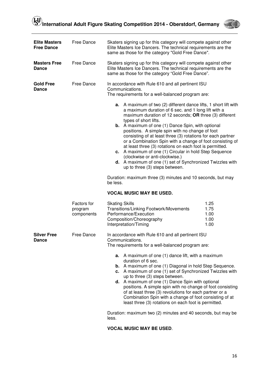

| <b>Elite Masters</b><br><b>Free Dance</b> | Free Dance                           | Skaters signing up for this category will compete against other<br>Elite Masters Ice Dancers. The technical requirements are the<br>same as those for the category "Gold Free Dance".                                                                                                                                                                                                                                                                                                                                                                                                                                                                                                                                                                                                     |  |
|-------------------------------------------|--------------------------------------|-------------------------------------------------------------------------------------------------------------------------------------------------------------------------------------------------------------------------------------------------------------------------------------------------------------------------------------------------------------------------------------------------------------------------------------------------------------------------------------------------------------------------------------------------------------------------------------------------------------------------------------------------------------------------------------------------------------------------------------------------------------------------------------------|--|
| <b>Masters Free</b><br><b>Dance</b>       | Free Dance                           | Skaters signing up for this category will compete against other<br>Elite Masters Ice Dancers. The technical requirements are the<br>same as those for the category "Gold Free Dance".                                                                                                                                                                                                                                                                                                                                                                                                                                                                                                                                                                                                     |  |
| <b>Gold Free</b><br><b>Dance</b>          | Free Dance                           | In accordance with Rule 610 and all pertinent ISU<br>Communications.<br>The requirements for a well-balanced program are:                                                                                                                                                                                                                                                                                                                                                                                                                                                                                                                                                                                                                                                                 |  |
|                                           |                                      | A maximum of two (2) different dance lifts, 1 short lift with<br>а.<br>a maximum duration of 6 sec. and 1 long lift with a<br>maximum duration of 12 seconds; OR three (3) different<br>types of short lifts.<br><b>b.</b> A maximum of one (1) Dance Spin, with optional<br>positions. A simple spin with no change of foot<br>consisting of at least three (3) rotations for each partner<br>or a Combination Spin with a change of foot consisting of<br>at least three (3) rotations on each foot is permitted.<br>c. A maximum of one (1) Circular in hold Step Sequence<br>(clockwise or anti-clockwise.)<br>d. A maximum of one (1) set of Synchronized Twizzles with<br>up to three (3) steps between.<br>Duration: maximum three (3) minutes and 10 seconds, but may<br>be less. |  |
|                                           |                                      | <b>VOCAL MUSIC MAY BE USED.</b>                                                                                                                                                                                                                                                                                                                                                                                                                                                                                                                                                                                                                                                                                                                                                           |  |
|                                           | Factors for<br>program<br>components | <b>Skating Skills</b><br>1.25<br>Transitions/Linking Footwork/Movements<br>1.75<br>1.00<br>Performance/Execution<br>Composition/Choreography<br>1.00<br>Interpretation/Timing<br>1.00                                                                                                                                                                                                                                                                                                                                                                                                                                                                                                                                                                                                     |  |
| <b>Silver Free</b><br><b>Dance</b>        | Free Dance                           | In accordance with Rule 610 and all pertinent ISU<br>Communications<br>The requirements for a well-balanced program are:<br>A maximum of one (1) dance lift, with a maximum<br>а.<br>duration of 6 sec.<br><b>b.</b> A maximum of one (1) Diagonal in hold Step Sequence.<br>c. A maximum of one (1) set of Synchronized Twizzles with<br>up to three (3) steps between.<br><b>d.</b> A maximum of one (1) Dance Spin with optional<br>positions. A simple spin with no change of foot consisting<br>of at least three (3) revolutions for each partner or a<br>Combination Spin with a change of foot consisting of at<br>least three (3) rotations on each foot is permitted.<br>Duration: maximum two (2) minutes and 40 seconds, but may be<br>less.                                  |  |

#### **VOCAL MUSIC MAY BE USED**.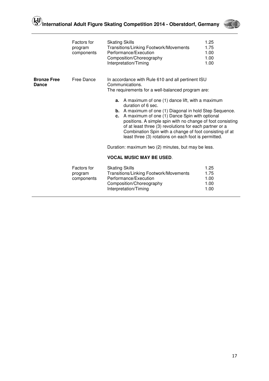

|                                    | Factors for<br>program<br>components | <b>Skating Skills</b><br>Transitions/Linking Footwork/Movements<br>Performance/Execution<br>Composition/Choreography<br>Interpretation/Timing                                                                                                                                                                                                                                                                                                                                                                                                                                                                                         | 1.25<br>1.75<br>1.00<br>1.00<br>1.00 |  |
|------------------------------------|--------------------------------------|---------------------------------------------------------------------------------------------------------------------------------------------------------------------------------------------------------------------------------------------------------------------------------------------------------------------------------------------------------------------------------------------------------------------------------------------------------------------------------------------------------------------------------------------------------------------------------------------------------------------------------------|--------------------------------------|--|
| <b>Bronze Free</b><br><b>Dance</b> | Free Dance                           | In accordance with Rule 610 and all pertinent ISU<br>Communications.<br>The requirements for a well-balanced program are:<br><b>a.</b> A maximum of one (1) dance lift, with a maximum<br>duration of 6 sec.<br><b>b.</b> A maximum of one (1) Diagonal in hold Step Sequence.<br>c. A maximum of one (1) Dance Spin with optional<br>positions. A simple spin with no change of foot consisting<br>of at least three (3) revolutions for each partner or a<br>Combination Spin with a change of foot consisting of at<br>least three (3) rotations on each foot is permitted.<br>Duration: maximum two (2) minutes, but may be less. |                                      |  |
|                                    | <b>VOCAL MUSIC MAY BE USED.</b>      |                                                                                                                                                                                                                                                                                                                                                                                                                                                                                                                                                                                                                                       |                                      |  |
|                                    | Factors for<br>program<br>components | <b>Skating Skills</b><br>Transitions/Linking Footwork/Movements<br>Performance/Execution<br>Composition/Choreography<br>Interpretation/Timing                                                                                                                                                                                                                                                                                                                                                                                                                                                                                         | 1.25<br>1.75<br>1.00<br>1.00<br>1.00 |  |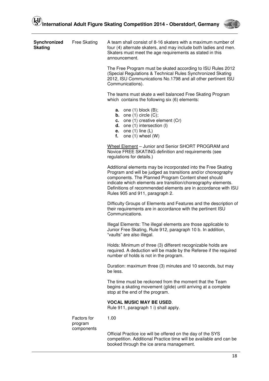

| Synchronized<br><b>Skating</b> | <b>Free Skating</b>    | A team shall consist of 8-16 skaters with a maximum number of<br>four (4) alternate skaters, and may include both ladies and men.<br>Skaters must meet the age requirements as stated in this<br>announcement.                                                                                                                                               |
|--------------------------------|------------------------|--------------------------------------------------------------------------------------------------------------------------------------------------------------------------------------------------------------------------------------------------------------------------------------------------------------------------------------------------------------|
|                                |                        | The Free Program must be skated according to ISU Rules 2012<br>(Special Regulations & Technical Rules Synchronized Skating<br>2012, ISU Communications No.1798 and all other pertinent ISU<br>Communications).                                                                                                                                               |
|                                |                        | The teams must skate a well balanced Free Skating Program<br>which contains the following six (6) elements:                                                                                                                                                                                                                                                  |
|                                |                        | <b>a.</b> one $(1)$ block $(B)$ ;<br><b>b.</b> one $(1)$ circle $(C)$ ;<br>c. one $(1)$ creative element $(Cr)$<br><b>d.</b> one $(1)$ intersection $(I)$<br><b>e.</b> one $(1)$ line $(L)$<br>f.<br>one $(1)$ wheel $(W)$                                                                                                                                   |
|                                |                        | Wheel Element - Junior and Senior SHORT PROGRAM and<br>Novice FREE SKATING definition and requirements (see<br>regulations for details.)                                                                                                                                                                                                                     |
|                                |                        | Additional elements may be incorporated into the Free Skating<br>Program and will be judged as transitions and/or choreography<br>components. The Planned Program Content sheet should<br>indicate which elements are transition/choreography elements.<br>Definitions of recommended elements are in accordance with ISU<br>Rules 905 and 911, paragraph 2. |
|                                |                        | Difficulty Groups of Elements and Features and the description of<br>their requirements are in accordance with the pertinent ISU<br>Communications.                                                                                                                                                                                                          |
|                                |                        | Illegal Elements: The illegal elements are those applicable to<br>Junior Free Skating, Rule 912, paragraph 10 b. In addition,<br>"vaults" are also illegal.                                                                                                                                                                                                  |
|                                |                        | Holds: Minimum of three (3) different recognizable holds are<br>required. A deduction will be made by the Referee if the required<br>number of holds is not in the program.                                                                                                                                                                                  |
|                                |                        | Duration: maximum three (3) minutes and 10 seconds, but may<br>be less.                                                                                                                                                                                                                                                                                      |
|                                |                        | The time must be reckoned from the moment that the Team<br>begins a skating movement (glide) until arriving at a complete<br>stop at the end of the program.                                                                                                                                                                                                 |
|                                |                        | <b>VOCAL MUSIC MAY BE USED.</b><br>Rule 911, paragraph 1 i) shall apply.                                                                                                                                                                                                                                                                                     |
|                                | Factors for<br>program | 1.00                                                                                                                                                                                                                                                                                                                                                         |
|                                | components             | Official Practice ice will be offered on the day of the SYS<br>competition. Additional Practice time will be available and can be                                                                                                                                                                                                                            |

booked through the ice arena management.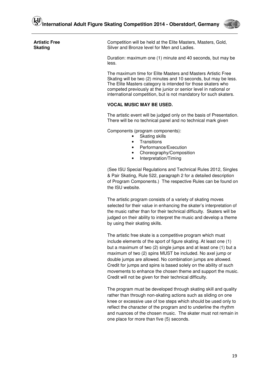

**Artistic Free Skating** 

 Competition will be held at the Elite Masters, Masters, Gold, Silver and Bronze level for Men and Ladies.

Duration: maximum one (1) minute and 40 seconds, but may be less.

The maximum time for Elite Masters and Masters Artistic Free Skating will be two (2) minutes and 10 seconds, but may be less. The Elite Masters category is intended for those skaters who competed previously at the junior or senior level in national or international competition, but is not mandatory for such skaters.

#### **VOCAL MUSIC MAY BE USED.**

 The artistic event will be judged only on the basis of Presentation. There will be no technical panel and no technical mark given

Components (program components):

- **Skating skills**
- **Transitions**
- Performance/Execution
- Choreography/Composition
- Interpretation/Timing

(See ISU Special Regulations and Technical Rules 2012, Singles & Pair Skating, Rule 522, paragraph 2 for a detailed description of Program Components.) The respective Rules can be found on the ISU website.

The artistic program consists of a variety of skating moves selected for their value in enhancing the skater's interpretation of the music rather than for their technical difficulty. Skaters will be judged on their ability to interpret the music and develop a theme by using their skating skills.

The artistic free skate is a competitive program which must include elements of the sport of figure skating. At least one (1) but a maximum of two (2) single jumps and at least one (1) but a maximum of two (2) spins MUST be included. No axel jump or double jumps are allowed. No combination jumps are allowed. Credit for jumps and spins is based solely on the ability of such movements to enhance the chosen theme and support the music. Credit will not be given for their technical difficulty.

The program must be developed through skating skill and quality rather than through non-skating actions such as sliding on one knee or excessive use of toe steps which should be used only to reflect the character of the program and to underline the rhythm and nuances of the chosen music. The skater must not remain in one place for more than five (5) seconds.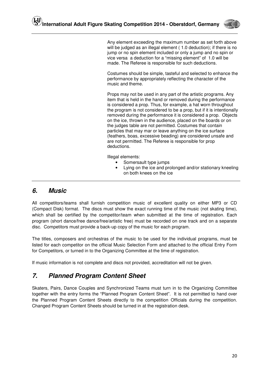

 Any element exceeding the maximum number as set forth above will be judged as an illegal element (1.0 deduction); if there is no jump or no spin element included or only a jump and no spin or vice versa a deduction for a "missing element" of 1.0 will be made. The Referee is responsible for such deductions.

Costumes should be simple, tasteful and selected to enhance the performance by appropriately reflecting the character of the music and theme.

Props may not be used in any part of the artistic programs. Any item that is held in the hand or removed during the performance is considered a prop. Thus, for example, a hat worn throughout the program is not considered to be a prop, but if it is intentionally removed during the performance it is considered a prop. Objects on the ice, thrown in the audience, placed on the boards or on the judges table are not permitted. Costumes that contain particles that may mar or leave anything on the ice surface (feathers, boas, excessive beading) are considered unsafe and are not permitted. The Referee is responsible for prop deductions.

Illegal elements:

- Somersault type jumps
- Lying on the ice and prolonged and/or stationary kneeling on both knees on the ice

### **6. Music**

All competitors/teams shall furnish competition music of excellent quality on either MP3 or CD (Compact Disk) format. The discs must show the exact running time of the music (not skating time), which shall be certified by the competitor/team when submitted at the time of registration. Each program (short dance/free dance/free/artistic free) must be recorded on one track and on a separate disc. Competitors must provide a back-up copy of the music for each program.

The titles, composers and orchestras of the music to be used for the individual programs, must be listed for each competitor on the official Music Selection Form and attached to the official Entry Form for Competitors, or turned in to the Organizing Committee at the time of registration.

If music information is not complete and discs not provided, accreditation will not be given.

# **7. Planned Program Content Sheet**

Skaters, Pairs, Dance Couples and Synchronized Teams must turn in to the Organizing Committee together with the entry forms the "Planned Program Content Sheet". It is not permitted to hand over the Planned Program Content Sheets directly to the competition Officials during the competition. Changed Program Content Sheets should be turned in at the registration desk.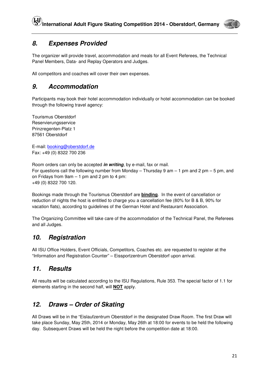

# **8. Expenses Provided**

The organizer will provide travel, accommodation and meals for all Event Referees, the Technical Panel Members, Data- and Replay Operators and Judges.

All competitors and coaches will cover their own expenses.

### **9. Accommodation**

Participants may book their hotel accommodation individually or hotel accommodation can be booked through the following travel agency:

Tourismus Oberstdorf Reservierungsservice Prinzregenten-Platz 1 87561 Oberstdorf

E-mail: booking@oberstdorf.de Fax: +49 (0) 8322 700 236

Room orders can only be accepted **in writing**, by e-mail, fax or mail. For questions call the following number from Monday – Thursday 9 am – 1 pm and 2 pm – 5 pm, and on Fridays from 9am – 1 pm and 2 pm to 4 pm: +49 (0) 8322 700 120.

Bookings made through the Tourismus Oberstdorf are **binding**. In the event of cancellation or reduction of nights the host is entitled to charge you a cancellation fee (80% for B & B, 90% for vacation flats), according to guidelines of the German Hotel and Restaurant Association.

The Organizing Committee will take care of the accommodation of the Technical Panel, the Referees and all Judges.

# **10. Registration**

All ISU Office Holders, Event Officials, Competitors, Coaches etc. are requested to register at the "Information and Registration Counter" – Eissportzentrum Oberstdorf upon arrival.

### **11. Results**

All results will be calculated according to the ISU Regulations, Rule 353. The special factor of 1.1 for elements starting in the second half, will **NOT** apply.

# **12. Draws – Order of Skating**

All Draws will be in the "Eislaufzentrum Oberstdorf in the designated Draw Room. The first Draw will take place Sunday, May 25th, 2014 or Monday, May 26th at 18:00 for events to be held the following day. Subsequent Draws will be held the night before the competition date at 18:00.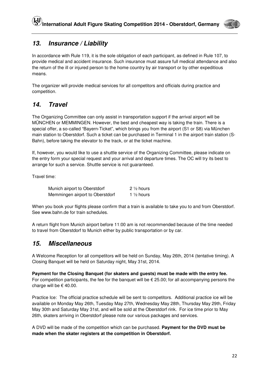

# **13. Insurance / Liability**

In accordance with Rule 119, it is the sole obligation of each participant, as defined in Rule 107, to provide medical and accident insurance. Such insurance must assure full medical attendance and also the return of the ill or injured person to the home country by air transport or by other expeditious means.

The organizer will provide medical services for all competitors and officials during practice and competition.

# **14. Travel**

The Organizing Committee can only assist in transportation support if the arrival airport will be MÜNCHEN or MEMMINGEN. However, the best and cheapest way is taking the train. There is a special offer, a so-called "Bayern-Ticket", which brings you from the airport (S1 or S8) via München main station to Oberstdorf. Such a ticket can be purchased in Terminal 1 in the airport train station (S-Bahn), before taking the elevator to the track, or at the ticket machine.

If, however, you would like to use a shuttle service of the Organizing Committee, please indicate on the entry form your special request and your arrival and departure times. The OC will try its best to arrange for such a service. Shuttle service is not guaranteed.

Travel time:

| Munich airport to Oberstdorf    | $2\frac{1}{2}$ hours  |
|---------------------------------|-----------------------|
| Memmingen airport to Oberstdorf | 1 $\frac{1}{2}$ hours |

When you book your flights please confirm that a train is available to take you to and from Oberstdorf. See www.bahn.de for train schedules.

A return flight from Munich airport before 11:00 am is not recommended because of the time needed to travel from Oberstdorf to Munich either by public transportation or by car.

### **15. Miscellaneous**

A Welcome Reception for all competitors will be held on Sunday, May 26th, 2014 (tentative timing). A Closing Banquet will be held on Saturday night, May 31st, 2014.

**Payment for the Closing Banquet (for skaters and guests) must be made with the entry fee.**  For competition participants, the fee for the banquet will be  $\epsilon$  25.00; for all accompanying persons the charge will be  $\epsilon$  40.00.

Practice Ice: The official practice schedule will be sent to competitors. Additional practice ice will be available on Monday May 26th, Tuesday May 27th, Wednesday May 28th, Thursday May 29th, Friday May 30th and Saturday May 31st, and will be sold at the Oberstdorf rink. For ice time prior to May 26th, skaters arriving in Oberstdorf please note our various packages and services.

A DVD will be made of the competition which can be purchased. **Payment for the DVD must be made when the skater registers at the competition in Oberstdorf.**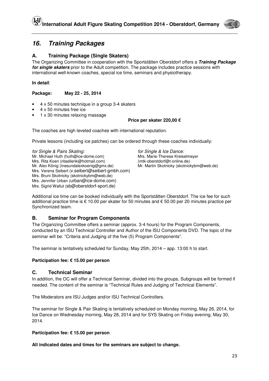

### **16. Training Packages**

### **A. Training Package (Single Skaters)**

The Organizing Committee in cooperation with the Sportstätten Oberstdorf offers a **Training Package for single skaters** prior to the Adult competition. The package includes practice sessions with international well-known coaches, special ice time, seminars and physiotherapy.

**In detail**:

**Package: May 22 - 25, 2014** 

- 4 x 50 minutes technique in a group 3-4 skaters
- 4 x 50 minutes free ice
- 1 x 30 minutes relaxing massage

#### **Price per skater 220,00 €**

The coaches are high leveled coaches with international reputation.

Private lessons (including ice patches) can be ordered through these coaches individually:

for Single & Pairs Skating: for Single & Ice Dance:<br>Mr. Michael Huth (huth@ice-dome.com) Mrs. Marie-Therese Kreise Mrs. Rita Koen (ritaellenk@hotmail.com) (mtk-oberstdorf@t-online.de) Mr. Alex König (inesundalexkoenig@gmx.de) Mr. Martin Skotnicky (skotnickybm@web.de) Mrs. Verena Seibert (v.seibert@seibert-gmbh.com) Mrs. Bruni Skotnicky (skotnickybm@web.de) Mrs. Jennifer Urban (urban@ice-dome.com) Mrs. Sigrid Wallut (sb@oberstdorf-sport.de)

Mrs. Marie-Therese Kreiselmeyer

Additional ice time can be booked individually with the Sportstätten Oberstdorf. The ice fee for such additional practice time is € 10.00 per skater for 50 minutes and € 50.00 per 20 minutes practice per Synchronized team.

#### **B. Seminar for Program Components**

The Organizing Committee offers a seminar (approx. 3-4 hours) for the Program Components, conducted by an ISU Technical Controller and Author of the ISU Components DVD. The topic of the seminar will be: "Criteria and Judging of the five (5) Program Components".

The seminar is tentatively scheduled for Sunday, May 25th, 2014 – app. 13:00 h to start.

#### **Participation fee: € 15.00 per person**

#### **C. Technical Seminar**

In addition, the OC will offer a Technical Seminar, divided into the groups, Subgroups will be formed if needed. The content of the seminar is "Technical Rules and Judging of Technical Elements".

The Moderators are ISU Judges and/or ISU Technical Controllers.

The seminar for Single & Pair Skating is tentatively scheduled on Monday morning, May 26, 2014, for Ice Dance on Wednesday morning, May 28, 2014 and for SYS Skating on Friday evening, May 30, 2014.

#### **Participation fee: € 15.00 per person**

**All indicated dates and times for the seminars are subject to change.**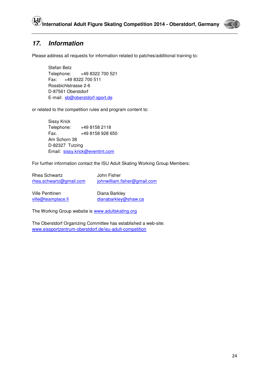

# **17. Information**

Please address all requests for information related to patches/additional training to:

 Stefan Betz Telephone: +49 8322 700 521 Fax: +49 8322 700 511 Rossbichlstrasse 2-6 D-87561 Oberstdorf E-mail: sb@oberstdorf-sport.de

or related to the competition rules and program content to:

 Sissy Krick Telephone: +49 8158 2118 Fax. +49 8158 928 650 Am Schorn 38 D-82327 Tutzing Email: sissy.krick@eventint.com

For further information contact the ISU Adult Skating Working Group Members:

Rhea Schwartz **John Fisher** rhea.schwartz@gmail.com johnwilliam.fisher@gmail.com

Ville Penttinen Diana Barkley

ville@teamplace.fi dianabarkley@shaw.ca

The Working Group website is www.adultskating.org

The Oberstdorf Organizing Committee has established a web-site: www.eissportzentrum-oberstdorf.de/isu-adult-competition